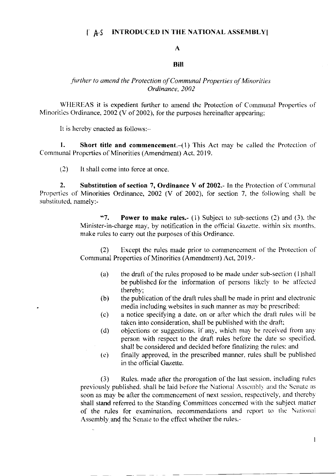#### $TAS$ **INTRODUCED IN THE NATIONAL ASSEMBLY**

#### $\mathbf{A}$

### **Bill**

## further to amend the Protection of Communal Properties of Minorities Ordinance, 2002

WHEREAS it is expedient further to amend the Protection of Communal Properties of Minorities Ordinance, 2002 (V of 2002), for the purposes hereinafter appearing;

It is hereby enacted as follows:-

1. Short title and commencement.  $(1)$  This Act may be called the Protection of Communal Properties of Minorities (Amendment) Act, 2019.

 $(2)$ It shall come into force at once.

 $2.$ Substitution of section 7, Ordinance V of 2002.- In the Protection of Communal Properties of Minorities Ordinance, 2002 (V of 2002), for section 7, the following shall be substituted, namely:-

> $457.$ **Power to make rules.**- (1) Subject to sub-sections (2) and (3), the Minister-in-charge may, by notification in the official Gazette, within six months, make rules to carry out the purposes of this Ordinance.

> Except the rules made prior to commencement of the Protection of  $(2)$ Communal Properties of Minorities (Amendment) Act, 2019,-

- $(a)$ the draft of the rules proposed to be made under sub-section (1) shall be published for the information of persons likely to be affected thereby;
- $(b)$ the publication of the draft rules shall be made in print and electronic media including websites in such manner as may be prescribed;
- a notice specifying a date, on or after which the draft rules will be  $(c)$ taken into consideration, shall be published with the draft;
- objections or suggestions, if any, which may be received from any  $(d)$ person with respect to the draft rules before the date so specified, shall be considered and decided before finalizing the rules; and
- finally approved, in the prescribed manner, rules shall be published  $(e)$ in the official Gazette.

Rules, made after the prorogation of the last session, including rules  $(3)$ previously published, shall be laid before the National Assembly and the Senate as soon as may be after the commencement of next session, respectively, and thereby shall stand referred to the Standing Committees concerned with the subject matter of the rules for examination, recommendations and report to the National Assembly and the Senate to the effect whether the rules,-

 $\mathbf{I}$